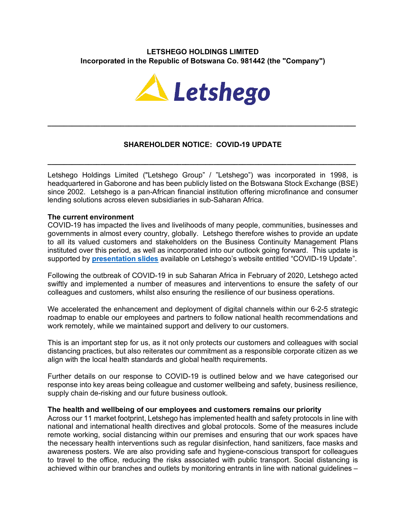# **LETSHEGO HOLDINGS LIMITED Incorporated in the Republic of Botswana Co. 981442 (the "Company")**



# **SHAREHOLDER NOTICE: COVID-19 UPDATE**

**\_\_\_\_\_\_\_\_\_\_\_\_\_\_\_\_\_\_\_\_\_\_\_\_\_\_\_\_\_\_\_\_\_\_\_\_\_\_\_\_\_\_\_\_\_\_\_\_\_\_\_\_\_\_\_\_\_\_\_\_\_\_\_\_\_\_\_\_\_\_\_\_\_\_\_\_**

**\_\_\_\_\_\_\_\_\_\_\_\_\_\_\_\_\_\_\_\_\_\_\_\_\_\_\_\_\_\_\_\_\_\_\_\_\_\_\_\_\_\_\_\_\_\_\_\_\_\_\_\_\_\_\_\_\_\_\_\_\_\_\_\_\_\_\_\_\_\_\_\_\_\_\_\_**

Letshego Holdings Limited ("Letshego Group" / "Letshego") was incorporated in 1998, is headquartered in Gaborone and has been publicly listed on the Botswana Stock Exchange (BSE) since 2002. Letshego is a pan-African financial institution offering microfinance and consumer lending solutions across eleven subsidiaries in sub-Saharan Africa.

#### **The current environment**

COVID-19 has impacted the lives and livelihoods of many people, communities, businesses and governments in almost every country, globally. Letshego therefore wishes to provide an update to all its valued customers and stakeholders on the Business Continuity Management Plans instituted over this period, as well as incorporated into our outlook going forward. This update is supported by **presentation slides** available on Letshego's website entitled "COVID-19 Update".

Following the outbreak of COVID-19 in sub Saharan Africa in February of 2020, Letshego acted swiftly and implemented a number of measures and interventions to ensure the safety of our colleagues and customers, whilst also ensuring the resilience of our business operations.

We accelerated the enhancement and deployment of digital channels within our 6-2-5 strategic roadmap to enable our employees and partners to follow national health recommendations and work remotely, while we maintained support and delivery to our customers.

This is an important step for us, as it not only protects our customers and colleagues with social distancing practices, but also reiterates our commitment as a responsible corporate citizen as we align with the local health standards and global health requirements.

Further details on our response to COVID-19 is outlined below and we have categorised our response into key areas being colleague and customer wellbeing and safety, business resilience, supply chain de-risking and our future business outlook.

#### **The health and wellbeing of our employees and customers remains our priority**

Across our 11 market footprint, Letshego has implemented health and safety protocols in line with national and international health directives and global protocols. Some of the measures include remote working, social distancing within our premises and ensuring that our work spaces have the necessary health interventions such as regular disinfection, hand sanitizers, face masks and awareness posters. We are also providing safe and hygiene-conscious transport for colleagues to travel to the office, reducing the risks associated with public transport. Social distancing is achieved within our branches and outlets by monitoring entrants in line with national guidelines –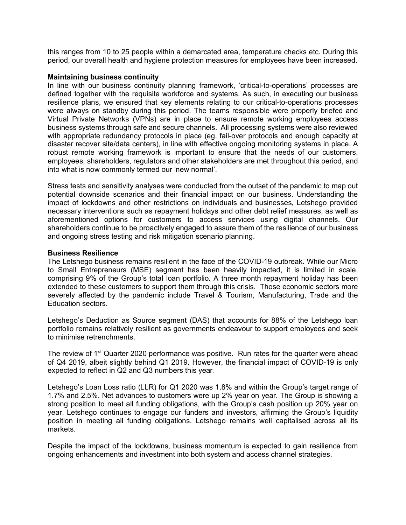this ranges from 10 to 25 people within a demarcated area, temperature checks etc. During this period, our overall health and hygiene protection measures for employees have been increased.

#### **Maintaining business continuity**

In line with our business continuity planning framework, 'critical-to-operations' processes are defined together with the requisite workforce and systems. As such, in executing our business resilience plans, we ensured that key elements relating to our critical-to-operations processes were always on standby during this period. The teams responsible were properly briefed and Virtual Private Networks (VPNs) are in place to ensure remote working employees access business systems through safe and secure channels. All processing systems were also reviewed with appropriate redundancy protocols in place (eg. fail-over protocols and enough capacity at disaster recover site/data centers), in line with effective ongoing monitoring systems in place. A robust remote working framework is important to ensure that the needs of our customers, employees, shareholders, regulators and other stakeholders are met throughout this period, and into what is now commonly termed our 'new normal'.

Stress tests and sensitivity analyses were conducted from the outset of the pandemic to map out potential downside scenarios and their financial impact on our business. Understanding the impact of lockdowns and other restrictions on individuals and businesses, Letshego provided necessary interventions such as repayment holidays and other debt relief measures, as well as aforementioned options for customers to access services using digital channels. Our shareholders continue to be proactively engaged to assure them of the resilience of our business and ongoing stress testing and risk mitigation scenario planning.

### **Business Resilience**

The Letshego business remains resilient in the face of the COVID-19 outbreak. While our Micro to Small Entrepreneurs (MSE) segment has been heavily impacted, it is limited in scale, comprising 9% of the Group's total loan portfolio. A three month repayment holiday has been extended to these customers to support them through this crisis. Those economic sectors more severely affected by the pandemic include Travel & Tourism, Manufacturing, Trade and the Education sectors.

Letshego's Deduction as Source segment (DAS) that accounts for 88% of the Letshego loan portfolio remains relatively resilient as governments endeavour to support employees and seek to minimise retrenchments.

The review of 1<sup>st</sup> Quarter 2020 performance was positive. Run rates for the quarter were ahead of Q4 2019, albeit slightly behind Q1 2019. However, the financial impact of COVID-19 is only expected to reflect in Q2 and Q3 numbers this year*.*

Letshego's Loan Loss ratio (LLR) for Q1 2020 was 1.8% and within the Group's target range of 1.7% and 2.5%. Net advances to customers were up 2% year on year. The Group is showing a strong position to meet all funding obligations, with the Group's cash position up 20% year on year. Letshego continues to engage our funders and investors, affirming the Group's liquidity position in meeting all funding obligations. Letshego remains well capitalised across all its markets.

Despite the impact of the lockdowns, business momentum is expected to gain resilience from ongoing enhancements and investment into both system and access channel strategies.